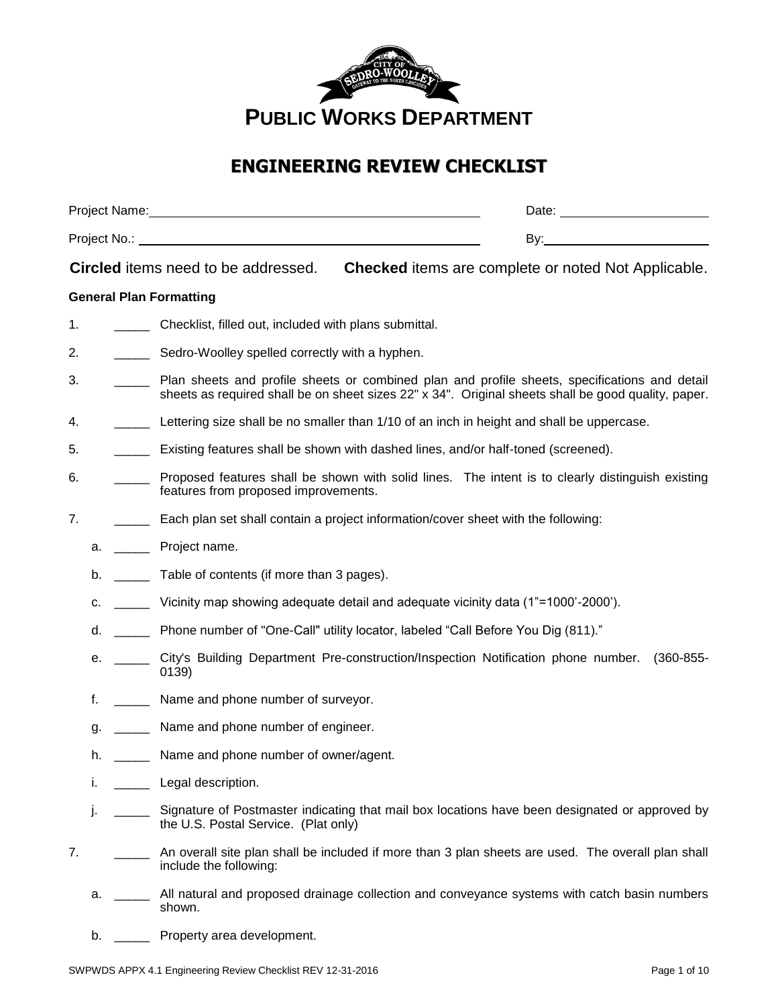

# **ENGINEERING REVIEW CHECKLIST**

| Project Name: | Date:    |
|---------------|----------|
| Project No.:  | n.<br>ື້ |

**Circled** items need to be addressed. **Checked** items are complete or noted Not Applicable.

# **General Plan Formatting**

- 1. \_\_\_\_\_ Checklist, filled out, included with plans submittal.
- 2. **\_\_\_\_\_\_** Sedro-Woolley spelled correctly with a hyphen.
- 3. \_\_\_\_\_ Plan sheets and profile sheets or combined plan and profile sheets, specifications and detail sheets as required shall be on sheet sizes 22" x 34". Original sheets shall be good quality, paper.
- 4. \_\_\_\_\_ Lettering size shall be no smaller than 1/10 of an inch in height and shall be uppercase.
- 5. \_\_\_\_\_ Existing features shall be shown with dashed lines, and/or half-toned (screened).
- 6. \_\_\_\_\_ Proposed features shall be shown with solid lines. The intent is to clearly distinguish existing features from proposed improvements.
- 7. \_\_\_\_\_ Each plan set shall contain a project information/cover sheet with the following:
	- a. **Project name.**
	- b. \_\_\_\_\_\_\_ Table of contents (if more than 3 pages).
	- c. \_\_\_\_\_ Vicinity map showing adequate detail and adequate vicinity data (1"=1000'-2000').
	- d. \_\_\_\_\_ Phone number of "One-Call" utility locator, labeled "Call Before You Dig (811)."
	- e. **City's Building Department Pre-construction/Inspection Notification phone number.** (360-855-0139)
	- f. \_\_\_\_\_ Name and phone number of surveyor.
	- g. \_\_\_\_\_\_\_ Name and phone number of engineer.
	- h. \_\_\_\_\_\_ Name and phone number of owner/agent.
	- i. \_\_\_\_\_\_ Legal description.
	- j. \_\_\_\_\_ Signature of Postmaster indicating that mail box locations have been designated or approved by the U.S. Postal Service. (Plat only)
- 7. \_\_\_\_\_\_\_\_\_ An overall site plan shall be included if more than 3 plan sheets are used. The overall plan shall include the following:
	- a. \_\_\_\_\_ All natural and proposed drainage collection and conveyance systems with catch basin numbers shown.
	- b. \_\_\_\_\_\_ Property area development.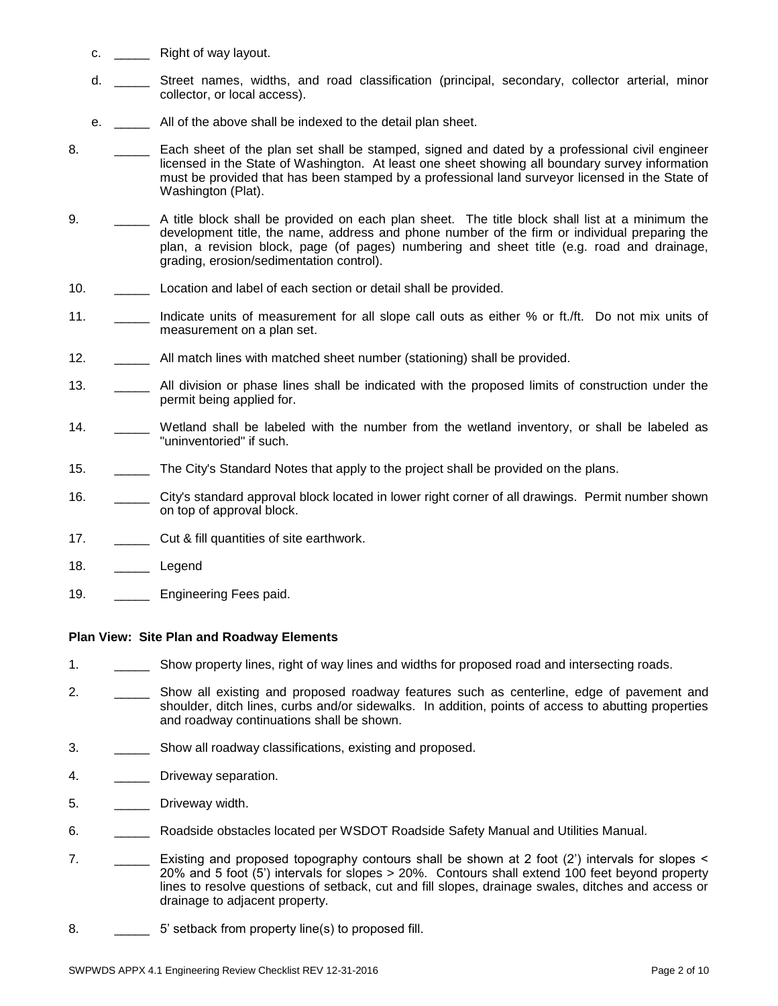- c. Right of way layout.
- d. \_\_\_\_\_ Street names, widths, and road classification (principal, secondary, collector arterial, minor collector, or local access).
- e. \_\_\_\_\_ All of the above shall be indexed to the detail plan sheet.
- 8. **Each sheet of the plan set shall be stamped, signed and dated by a professional civil engineer** licensed in the State of Washington. At least one sheet showing all boundary survey information must be provided that has been stamped by a professional land surveyor licensed in the State of Washington (Plat).
- 9. \_\_\_\_\_ A title block shall be provided on each plan sheet. The title block shall list at a minimum the development title, the name, address and phone number of the firm or individual preparing the plan, a revision block, page (of pages) numbering and sheet title (e.g. road and drainage, grading, erosion/sedimentation control).
- 10. **Location and label of each section or detail shall be provided.**
- 11. \_\_\_\_\_\_\_ Indicate units of measurement for all slope call outs as either % or ft./ft. Do not mix units of measurement on a plan set.
- 12. \_\_\_\_\_ All match lines with matched sheet number (stationing) shall be provided.
- 13. \_\_\_\_\_\_ All division or phase lines shall be indicated with the proposed limits of construction under the permit being applied for.
- 14. \_\_\_\_\_ Wetland shall be labeled with the number from the wetland inventory, or shall be labeled as "uninventoried" if such.
- 15. \_\_\_\_\_ The City's Standard Notes that apply to the project shall be provided on the plans.
- 16. \_\_\_\_\_ City's standard approval block located in lower right corner of all drawings. Permit number shown on top of approval block.
- 17. \_\_\_\_\_\_\_\_\_\_ Cut & fill quantities of site earthwork.
- 18. Legend
- 19. **\_\_\_\_\_** Engineering Fees paid.

# **Plan View: Site Plan and Roadway Elements**

- 1. \_\_\_\_\_ Show property lines, right of way lines and widths for proposed road and intersecting roads.
- 2. \_\_\_\_\_\_\_\_ Show all existing and proposed roadway features such as centerline, edge of pavement and shoulder, ditch lines, curbs and/or sidewalks. In addition, points of access to abutting properties and roadway continuations shall be shown.
- 3. \_\_\_\_\_ Show all roadway classifications, existing and proposed.
- 4. **\_\_\_\_\_** Driveway separation.
- 5. \_\_\_\_\_\_\_\_ Driveway width.
- 6. \_\_\_\_\_ Roadside obstacles located per WSDOT Roadside Safety Manual and Utilities Manual.
- 7. \_\_\_\_\_ Existing and proposed topography contours shall be shown at 2 foot (2') intervals for slopes < 20% and 5 foot (5') intervals for slopes > 20%. Contours shall extend 100 feet beyond property lines to resolve questions of setback, cut and fill slopes, drainage swales, ditches and access or drainage to adjacent property.
- 8. \_\_\_\_\_\_\_\_\_ 5' setback from property line(s) to proposed fill.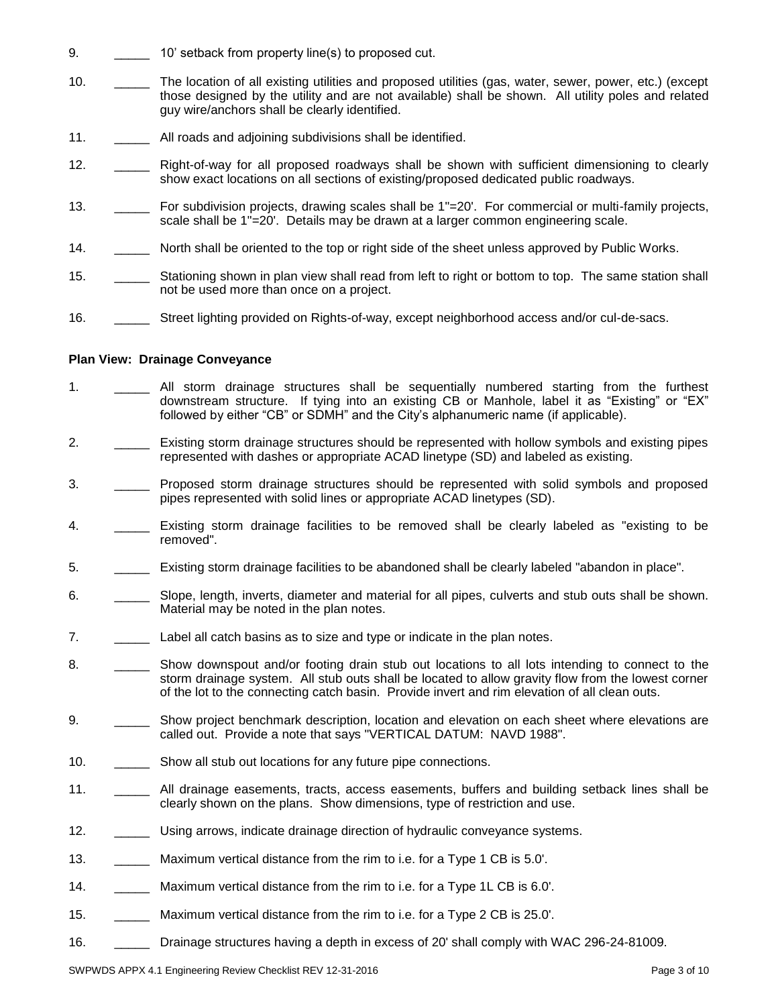- 9. **10' setback from property line(s) to proposed cut.**
- 10. \_\_\_\_\_ The location of all existing utilities and proposed utilities (gas, water, sewer, power, etc.) (except those designed by the utility and are not available) shall be shown. All utility poles and related guy wire/anchors shall be clearly identified.
- 11. All roads and adjoining subdivisions shall be identified.
- 12. \_\_\_\_\_ Right-of-way for all proposed roadways shall be shown with sufficient dimensioning to clearly show exact locations on all sections of existing/proposed dedicated public roadways.
- 13. \_\_\_\_\_ For subdivision projects, drawing scales shall be 1"=20'. For commercial or multi-family projects, scale shall be 1"=20'. Details may be drawn at a larger common engineering scale.
- 14. \_\_\_\_\_ North shall be oriented to the top or right side of the sheet unless approved by Public Works.
- 15. Stationing shown in plan view shall read from left to right or bottom to top. The same station shall not be used more than once on a project.
- 16. \_\_\_\_\_ Street lighting provided on Rights-of-way, except neighborhood access and/or cul-de-sacs.

#### **Plan View: Drainage Conveyance**

- 1. \_\_\_\_\_ All storm drainage structures shall be sequentially numbered starting from the furthest downstream structure. If tying into an existing CB or Manhole, label it as "Existing" or "EX" followed by either "CB" or SDMH" and the City's alphanumeric name (if applicable).
- 2. \_\_\_\_\_ Existing storm drainage structures should be represented with hollow symbols and existing pipes represented with dashes or appropriate ACAD linetype (SD) and labeled as existing.
- 3. \_\_\_\_\_ Proposed storm drainage structures should be represented with solid symbols and proposed pipes represented with solid lines or appropriate ACAD linetypes (SD).
- 4. \_\_\_\_\_ Existing storm drainage facilities to be removed shall be clearly labeled as "existing to be removed".
- 5. \_\_\_\_\_ Existing storm drainage facilities to be abandoned shall be clearly labeled "abandon in place".
- 6. \_\_\_\_\_ Slope, length, inverts, diameter and material for all pipes, culverts and stub outs shall be shown. Material may be noted in the plan notes.
- 7. \_\_\_\_\_ Label all catch basins as to size and type or indicate in the plan notes.
- 8. \_\_\_\_\_\_\_\_ Show downspout and/or footing drain stub out locations to all lots intending to connect to the storm drainage system. All stub outs shall be located to allow gravity flow from the lowest corner of the lot to the connecting catch basin. Provide invert and rim elevation of all clean outs.
- 9. \_\_\_\_\_\_\_\_\_ Show project benchmark description, location and elevation on each sheet where elevations are called out. Provide a note that says "VERTICAL DATUM: NAVD 1988".
- 10. \_\_\_\_\_\_\_\_\_ Show all stub out locations for any future pipe connections.
- 11. \_\_\_\_\_ All drainage easements, tracts, access easements, buffers and building setback lines shall be clearly shown on the plans. Show dimensions, type of restriction and use.
- 12. \_\_\_\_\_ Using arrows, indicate drainage direction of hydraulic conveyance systems.
- 13. \_\_\_\_\_ Maximum vertical distance from the rim to i.e. for a Type 1 CB is 5.0'.
- 14. \_\_\_\_\_ Maximum vertical distance from the rim to i.e. for a Type 1L CB is 6.0'.
- 15. \_\_\_\_\_ Maximum vertical distance from the rim to i.e. for a Type 2 CB is 25.0'.
- 16. \_\_\_\_\_ Drainage structures having a depth in excess of 20' shall comply with WAC 296-24-81009.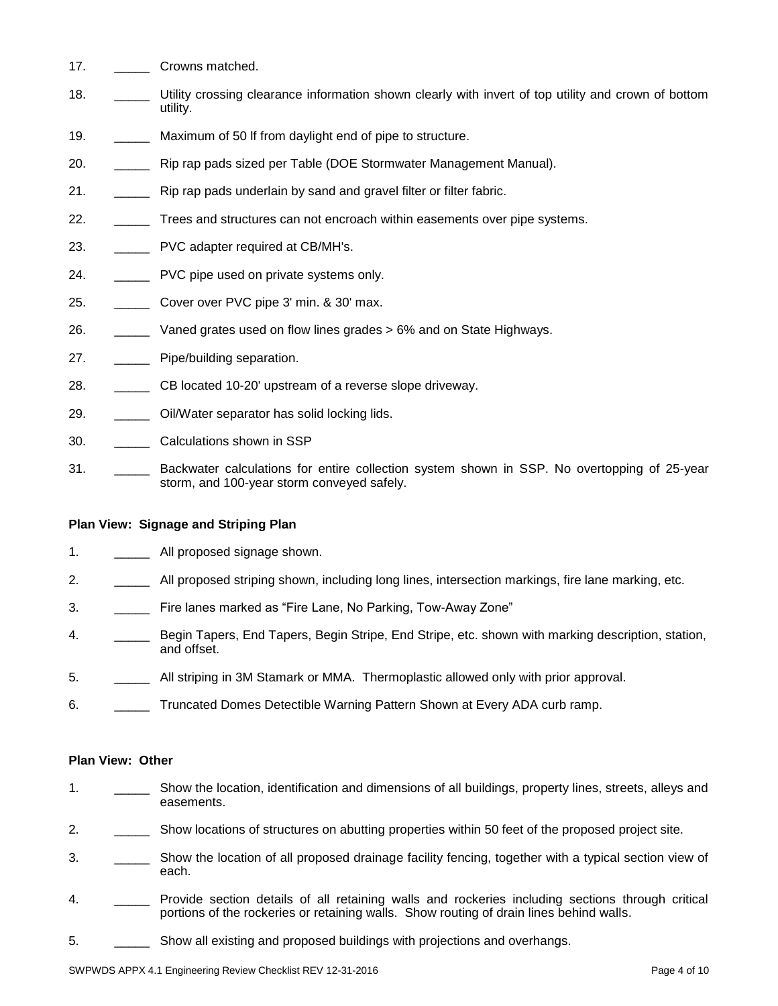- 17. **Crowns matched.**
- 18. \_\_\_\_\_ Utility crossing clearance information shown clearly with invert of top utility and crown of bottom utility.
- 19. Maximum of 50 lf from daylight end of pipe to structure.
- 20. **Example 20.** Rip rap pads sized per Table (DOE Stormwater Management Manual).
- 21. \_\_\_\_\_ Rip rap pads underlain by sand and gravel filter or filter fabric.
- 22. \_\_\_\_\_ Trees and structures can not encroach within easements over pipe systems.
- 23. \_\_\_\_\_\_\_\_\_ PVC adapter required at CB/MH's.
- 24. PVC pipe used on private systems only.
- 25. \_\_\_\_\_ Cover over PVC pipe 3' min. & 30' max.
- 26. \_\_\_\_\_ Vaned grates used on flow lines grades > 6% and on State Highways.
- 27. **Pipe/building separation.**
- 28. \_\_\_\_\_ CB located 10-20' upstream of a reverse slope driveway.
- 29. \_\_\_\_\_\_\_\_ Oil/Water separator has solid locking lids.
- 30. \_\_\_\_\_ Calculations shown in SSP
- 31. \_\_\_\_\_ Backwater calculations for entire collection system shown in SSP. No overtopping of 25-year storm, and 100-year storm conveyed safely.

# **Plan View: Signage and Striping Plan**

- 1. \_\_\_\_\_\_\_\_\_ All proposed signage shown.
- 2. \_\_\_\_\_ All proposed striping shown, including long lines, intersection markings, fire lane marking, etc.
- 3. \_\_\_\_\_ Fire lanes marked as "Fire Lane, No Parking, Tow-Away Zone"
- 4. \_\_\_\_\_ Begin Tapers, End Tapers, Begin Stripe, End Stripe, etc. shown with marking description, station, and offset.
- 5. \_\_\_\_\_ All striping in 3M Stamark or MMA. Thermoplastic allowed only with prior approval.
- 6. \_\_\_\_\_\_ Truncated Domes Detectible Warning Pattern Shown at Every ADA curb ramp.

# **Plan View: Other**

- 1. \_\_\_\_\_ Show the location, identification and dimensions of all buildings, property lines, streets, alleys and easements.
- 2. \_\_\_\_\_\_\_\_\_ Show locations of structures on abutting properties within 50 feet of the proposed project site.
- 3. \_\_\_\_\_ Show the location of all proposed drainage facility fencing, together with a typical section view of each.
- 4. \_\_\_\_\_\_ Provide section details of all retaining walls and rockeries including sections through critical portions of the rockeries or retaining walls. Show routing of drain lines behind walls.
- 5. \_\_\_\_\_\_\_\_\_\_\_ Show all existing and proposed buildings with projections and overhangs.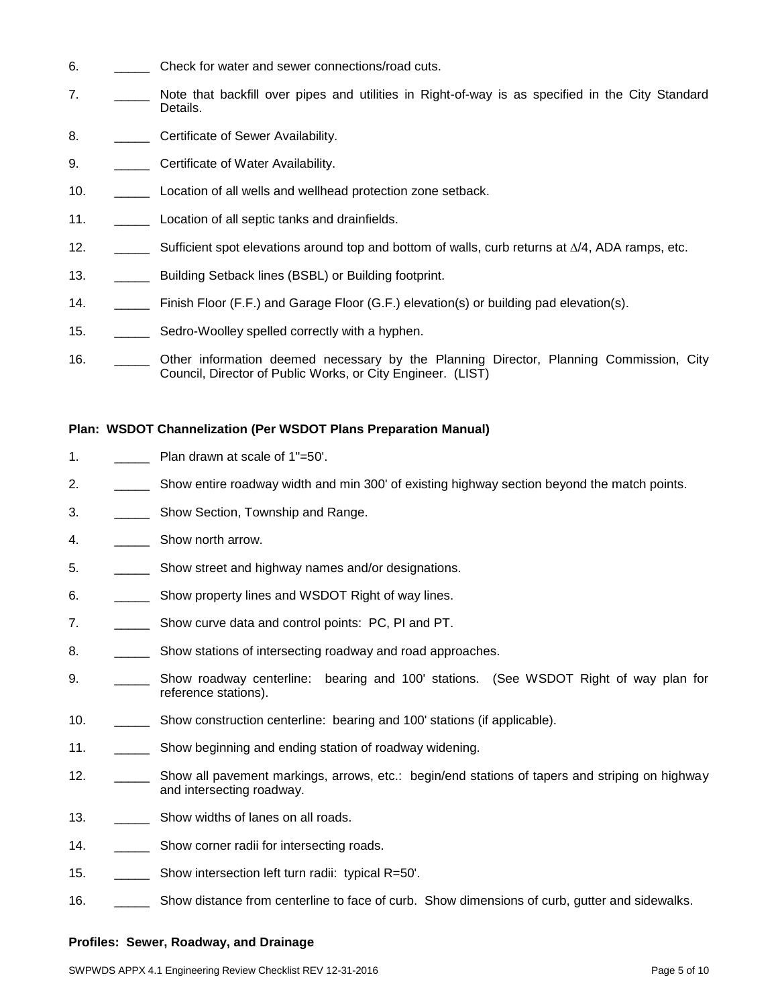- 6. \_\_\_\_\_ Check for water and sewer connections/road cuts.
- 7. \_\_\_\_\_ Note that backfill over pipes and utilities in Right-of-way is as specified in the City Standard Details.
- 8. **Certificate of Sewer Availability.**
- 9. **Certificate of Water Availability.**
- 10. **Location of all wells and wellhead protection zone setback.**
- 11. \_\_\_\_\_\_\_\_\_\_\_ Location of all septic tanks and drainfields.
- 12.  $\Box$  Sufficient spot elevations around top and bottom of walls, curb returns at  $\Delta/4$ , ADA ramps, etc.
- 13. **\_\_\_\_\_\_** Building Setback lines (BSBL) or Building footprint.
- 14. \_\_\_\_\_ Finish Floor (F.F.) and Garage Floor (G.F.) elevation(s) or building pad elevation(s).
- 15. \_\_\_\_\_\_\_\_\_ Sedro-Woolley spelled correctly with a hyphen.
- 16. \_\_\_\_\_ Other information deemed necessary by the Planning Director, Planning Commission, City Council, Director of Public Works, or City Engineer. (LIST)

# **Plan: WSDOT Channelization (Per WSDOT Plans Preparation Manual)**

- 1. Plan drawn at scale of 1"=50'.
- 2. \_\_\_\_\_ Show entire roadway width and min 300' of existing highway section beyond the match points.
- 3. **\_\_\_\_\_** Show Section, Township and Range.
- 4. \_\_\_\_\_ Show north arrow.
- 5. \_\_\_\_\_\_\_\_\_\_\_ Show street and highway names and/or designations.
- 6. \_\_\_\_\_\_\_\_\_\_ Show property lines and WSDOT Right of way lines.
- 7. \_\_\_\_\_ Show curve data and control points: PC, PI and PT.
- 8. \_\_\_\_\_\_\_\_\_\_\_ Show stations of intersecting roadway and road approaches.
- 9. \_\_\_\_\_\_\_\_ Show roadway centerline: bearing and 100' stations. (See WSDOT Right of way plan for reference stations).
- 10. \_\_\_\_\_ Show construction centerline: bearing and 100' stations (if applicable).
- 11. \_\_\_\_\_\_\_\_\_\_\_ Show beginning and ending station of roadway widening.
- 12. \_\_\_\_\_\_ Show all pavement markings, arrows, etc.: begin/end stations of tapers and striping on highway and intersecting roadway.
- 13. Show widths of lanes on all roads.
- 14. \_\_\_\_\_\_\_\_\_ Show corner radii for intersecting roads.
- 15. \_\_\_\_\_ Show intersection left turn radii: typical R=50'.
- 16. \_\_\_\_\_\_\_\_\_\_ Show distance from centerline to face of curb. Show dimensions of curb, gutter and sidewalks.

# **Profiles: Sewer, Roadway, and Drainage**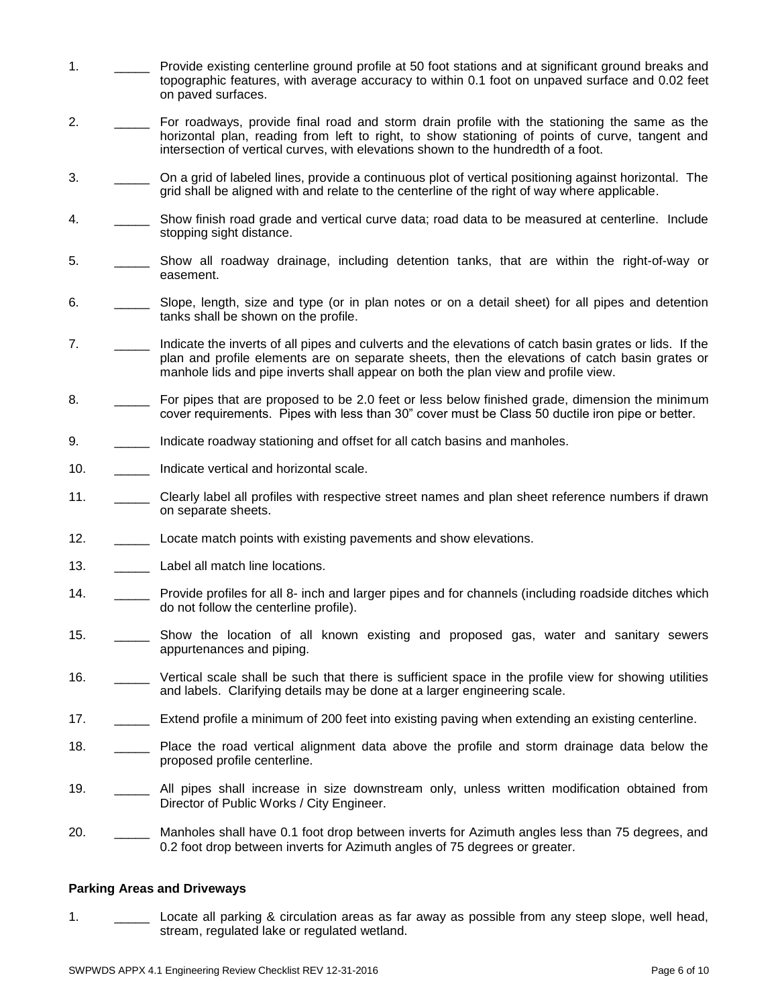- 1. \_\_\_\_\_ Provide existing centerline ground profile at 50 foot stations and at significant ground breaks and topographic features, with average accuracy to within 0.1 foot on unpaved surface and 0.02 feet on paved surfaces.
- 2. \_\_\_\_\_ For roadways, provide final road and storm drain profile with the stationing the same as the horizontal plan, reading from left to right, to show stationing of points of curve, tangent and intersection of vertical curves, with elevations shown to the hundredth of a foot.
- 3. \_\_\_\_\_ On a grid of labeled lines, provide a continuous plot of vertical positioning against horizontal. The grid shall be aligned with and relate to the centerline of the right of way where applicable.
- 4. \_\_\_\_\_ Show finish road grade and vertical curve data; road data to be measured at centerline. Include stopping sight distance.
- 5. \_\_\_\_\_ Show all roadway drainage, including detention tanks, that are within the right-of-way or easement.
- 6. \_\_\_\_\_ Slope, length, size and type (or in plan notes or on a detail sheet) for all pipes and detention tanks shall be shown on the profile.
- 7. \_\_\_\_\_ Indicate the inverts of all pipes and culverts and the elevations of catch basin grates or lids. If the plan and profile elements are on separate sheets, then the elevations of catch basin grates or manhole lids and pipe inverts shall appear on both the plan view and profile view.
- 8. For pipes that are proposed to be 2.0 feet or less below finished grade, dimension the minimum cover requirements. Pipes with less than 30" cover must be Class 50 ductile iron pipe or better.
- 9. \_\_\_\_\_\_\_ Indicate roadway stationing and offset for all catch basins and manholes.
- 10. **Indicate vertical and horizontal scale.**
- 11. \_\_\_\_\_ Clearly label all profiles with respective street names and plan sheet reference numbers if drawn on separate sheets.
- 12. \_\_\_\_\_ Locate match points with existing pavements and show elevations.
- 13. **Label all match line locations.**
- 14. \_\_\_\_\_ Provide profiles for all 8- inch and larger pipes and for channels (including roadside ditches which do not follow the centerline profile).
- 15. \_\_\_\_\_ Show the location of all known existing and proposed gas, water and sanitary sewers appurtenances and piping.
- 16. \_\_\_\_\_ Vertical scale shall be such that there is sufficient space in the profile view for showing utilities and labels. Clarifying details may be done at a larger engineering scale.
- 17. \_\_\_\_\_ Extend profile a minimum of 200 feet into existing paving when extending an existing centerline.
- 18. \_\_\_\_\_ Place the road vertical alignment data above the profile and storm drainage data below the proposed profile centerline.
- 19. \_\_\_\_\_ All pipes shall increase in size downstream only, unless written modification obtained from Director of Public Works / City Engineer.
- 20. \_\_\_\_\_ Manholes shall have 0.1 foot drop between inverts for Azimuth angles less than 75 degrees, and 0.2 foot drop between inverts for Azimuth angles of 75 degrees or greater.

#### **Parking Areas and Driveways**

1. \_\_\_\_\_ Locate all parking & circulation areas as far away as possible from any steep slope, well head, stream, regulated lake or regulated wetland.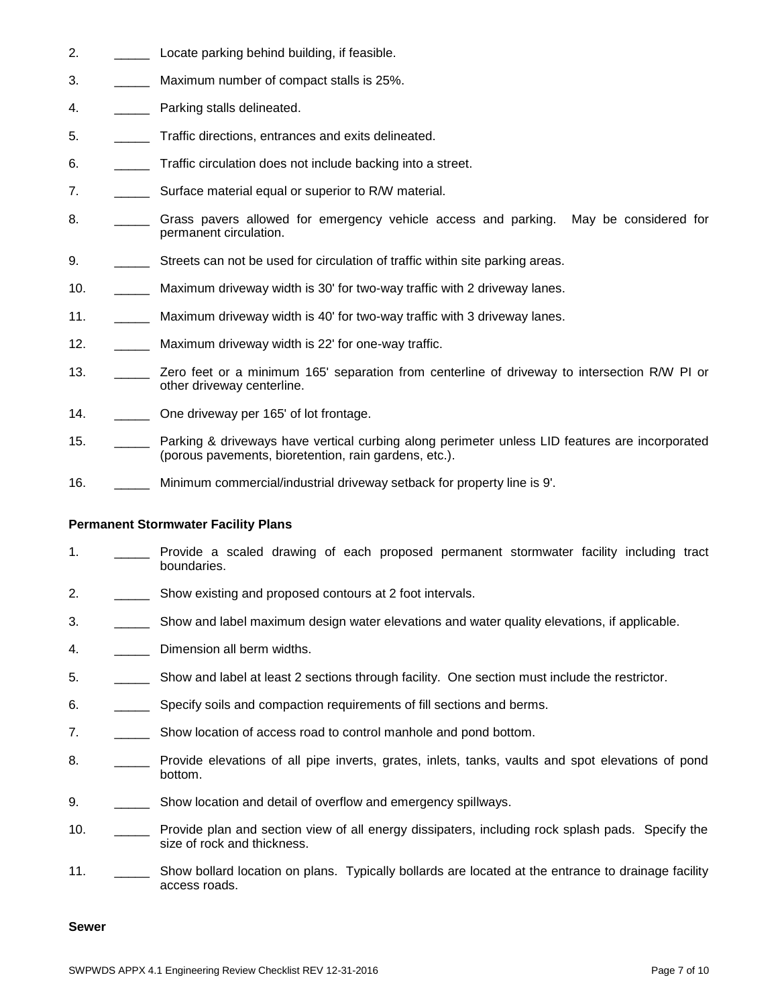- 2. \_\_\_\_\_ Locate parking behind building, if feasible.
- 3. \_\_\_\_\_ Maximum number of compact stalls is 25%.
- 4. **Departure Parking stalls delineated.**
- 5. \_\_\_\_\_ Traffic directions, entrances and exits delineated.
- 6. \_\_\_\_\_ Traffic circulation does not include backing into a street.
- 7. Surface material equal or superior to R/W material.
- 8. **\_\_\_\_\_** Grass pavers allowed for emergency vehicle access and parking. May be considered for permanent circulation.
- 9. Streets can not be used for circulation of traffic within site parking areas.
- 10. \_\_\_\_\_ Maximum driveway width is 30' for two-way traffic with 2 driveway lanes.
- 11. \_\_\_\_\_ Maximum driveway width is 40' for two-way traffic with 3 driveway lanes.
- 12. Maximum driveway width is 22' for one-way traffic.
- 13. \_\_\_\_\_ Zero feet or a minimum 165' separation from centerline of driveway to intersection R/W PI or other driveway centerline.
- 14. \_\_\_\_\_\_\_\_\_ One driveway per 165' of lot frontage.
- 15. \_\_\_\_\_ Parking & driveways have vertical curbing along perimeter unless LID features are incorporated (porous pavements, bioretention, rain gardens, etc.).
- 16. \_\_\_\_\_ Minimum commercial/industrial driveway setback for property line is 9'.

# **Permanent Stormwater Facility Plans**

- 1. \_\_\_\_\_ Provide a scaled drawing of each proposed permanent stormwater facility including tract boundaries.
- 2. \_\_\_\_\_\_\_\_\_\_\_ Show existing and proposed contours at 2 foot intervals.
- 3. \_\_\_\_\_\_\_\_\_\_\_ Show and label maximum design water elevations and water quality elevations, if applicable.
- 4. **\_\_\_\_\_** Dimension all berm widths.
- 5. \_\_\_\_\_ Show and label at least 2 sections through facility. One section must include the restrictor.
- 6. \_\_\_\_\_ Specify soils and compaction requirements of fill sections and berms.
- 7. \_\_\_\_\_\_\_\_\_\_ Show location of access road to control manhole and pond bottom.
- 8. \_\_\_\_\_\_ Provide elevations of all pipe inverts, grates, inlets, tanks, vaults and spot elevations of pond bottom.
- 9. \_\_\_\_\_\_\_\_\_\_ Show location and detail of overflow and emergency spillways.
- 10. \_\_\_\_\_ Provide plan and section view of all energy dissipaters, including rock splash pads. Specify the size of rock and thickness.
- 11. \_\_\_\_\_ Show bollard location on plans. Typically bollards are located at the entrance to drainage facility access roads.

#### **Sewer**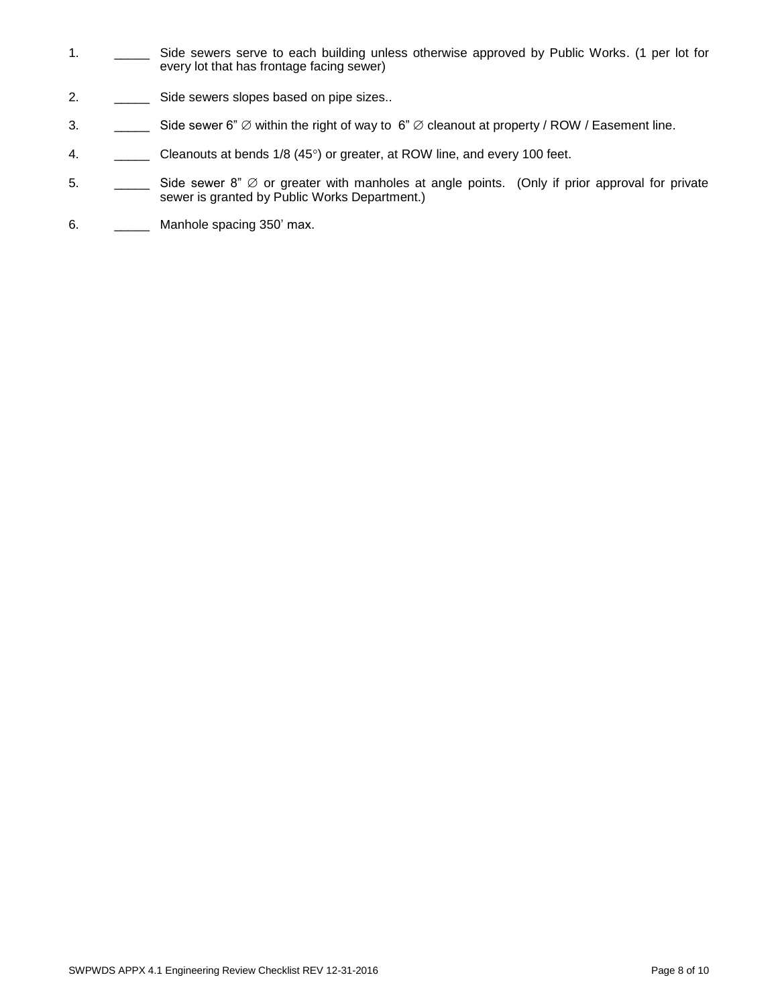- 1. \_\_\_\_\_\_ Side sewers serve to each building unless otherwise approved by Public Works. (1 per lot for every lot that has frontage facing sewer)
- 2. \_\_\_\_\_\_\_\_ Side sewers slopes based on pipe sizes..
- 3.  $\Box$  Side sewer 6"  $\emptyset$  within the right of way to 6"  $\emptyset$  cleanout at property / ROW / Easement line.
- 4. Cleanouts at bends 1/8 (45°) or greater, at ROW line, and every 100 feet.
- 5.  $\Box$  Side sewer 8"  $\varnothing$  or greater with manholes at angle points. (Only if prior approval for private sewer is granted by Public Works Department.)
- 6. \_\_\_\_\_\_\_\_\_ Manhole spacing 350' max.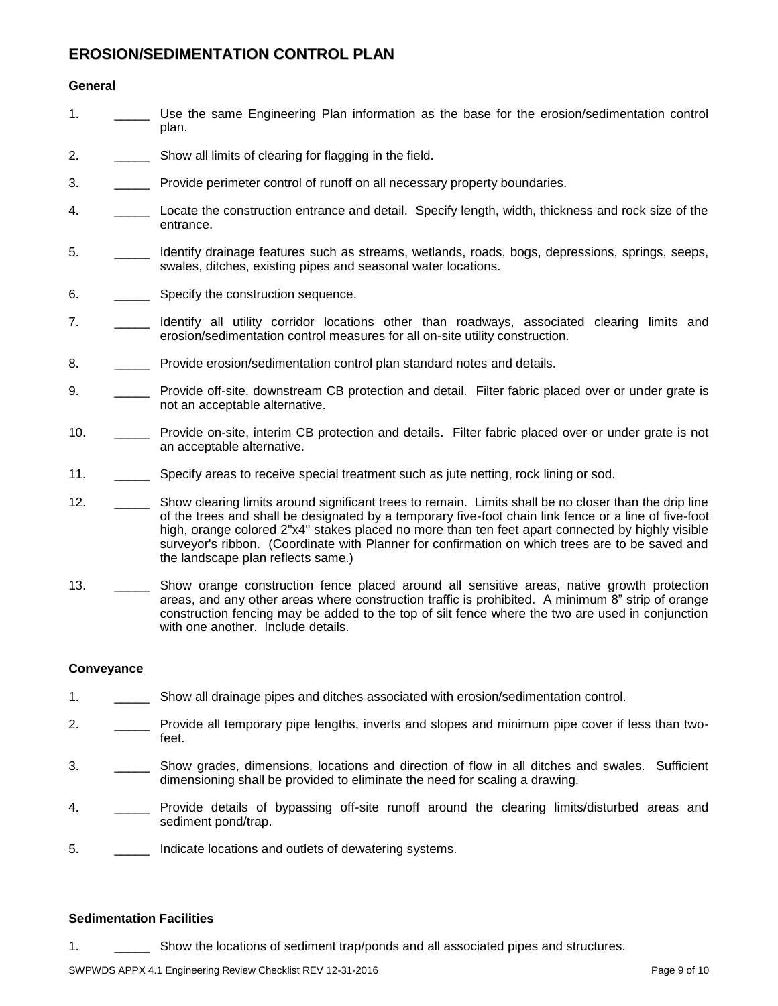# **EROSION/SEDIMENTATION CONTROL PLAN**

# **General**

- 1. \_\_\_\_\_ Use the same Engineering Plan information as the base for the erosion/sedimentation control plan.
- 2. \_\_\_\_\_ Show all limits of clearing for flagging in the field.
- 3. \_\_\_\_\_ Provide perimeter control of runoff on all necessary property boundaries.
- 4. \_\_\_\_\_ Locate the construction entrance and detail. Specify length, width, thickness and rock size of the entrance.
- 5. \_\_\_\_\_ Identify drainage features such as streams, wetlands, roads, bogs, depressions, springs, seeps, swales, ditches, existing pipes and seasonal water locations.
- 6. \_\_\_\_\_\_\_\_\_\_ Specify the construction sequence.
- 7. \_\_\_\_\_ Identify all utility corridor locations other than roadways, associated clearing limits and erosion/sedimentation control measures for all on-site utility construction.
- 8. **Example 20 Provide erosion/sedimentation control plan standard notes and details.**
- 9. \_\_\_\_\_\_ Provide off-site, downstream CB protection and detail. Filter fabric placed over or under grate is not an acceptable alternative.
- 10. \_\_\_\_\_ Provide on-site, interim CB protection and details. Filter fabric placed over or under grate is not an acceptable alternative.
- 11. \_\_\_\_\_\_\_\_\_\_ Specify areas to receive special treatment such as jute netting, rock lining or sod.
- 12. \_\_\_\_\_\_\_\_ Show clearing limits around significant trees to remain. Limits shall be no closer than the drip line of the trees and shall be designated by a temporary five-foot chain link fence or a line of five-foot high, orange colored 2"x4" stakes placed no more than ten feet apart connected by highly visible surveyor's ribbon. (Coordinate with Planner for confirmation on which trees are to be saved and the landscape plan reflects same.)
- 13. \_\_\_\_\_\_\_\_ Show orange construction fence placed around all sensitive areas, native growth protection areas, and any other areas where construction traffic is prohibited. A minimum 8" strip of orange construction fencing may be added to the top of silt fence where the two are used in conjunction with one another. Include details.

# **Conveyance**

- 1. \_\_\_\_\_ Show all drainage pipes and ditches associated with erosion/sedimentation control.
- 2. \_\_\_\_\_ Provide all temporary pipe lengths, inverts and slopes and minimum pipe cover if less than twofeet.
- 3. \_\_\_\_\_ Show grades, dimensions, locations and direction of flow in all ditches and swales. Sufficient dimensioning shall be provided to eliminate the need for scaling a drawing.
- 4. \_\_\_\_\_ Provide details of bypassing off-site runoff around the clearing limits/disturbed areas and sediment pond/trap.
- 5. \_\_\_\_\_ Indicate locations and outlets of dewatering systems.

# **Sedimentation Facilities**

1. \_\_\_\_\_ Show the locations of sediment trap/ponds and all associated pipes and structures.